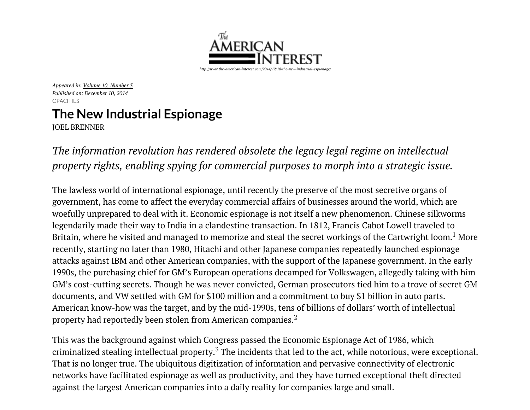

*Appeared in: Volume 10, [Number](http://www.the-american-interest.com/back-issue-toc/?i=3465) 3 Published on: December 10, 2014* **OPACITIES** 

## The New Industrial Espionage

JOEL [BRENNER](http://www.the-american-interest.com/byline/joel-brenner/)

*The information revolution has rendered obsolete the legacy legal regime on intellectual property rights, enabling spying for commercial purposes to morph into a strategic issue.*

The lawless world of international espionage, until recently the preserve of the most secretive organs of government, has come to affect the everyday commercial affairs of businesses around the world, which are woefully unprepared to deal with it. Economic espionage is not itself a new phenomenon. Chinese silkworms legendarily made their way to India in a clandestine transaction. In 1812, Francis Cabot Lowell traveled to Britain, where he visited and managed to memorize and steal the secret workings of the Cartwright loom. $^{\rm 1}$  More recently, starting no later than 1980, Hitachi and other Japanese companies repeatedly launched espionage attacks against IBM and other American companies, with the support of the Japanese government. In the early 1990s, the purchasing chief for GM's European operations decamped for Volkswagen, allegedly taking with him GM's cost-cutting secrets. Though he was never convicted, German prosecutors tied him to a trove of secret GM documents, and VW settled with GM for \$100 million and a commitment to buy \$1 billion in auto parts. American know-how was the target, and by the mid-1990s, tens of billions of dollars' worth of intellectual property had reportedly been stolen from American companies. $^{\rm 2}$ 

This was the background against which Congress passed the Economic Espionage Act of 1986, which criminalized stealing intellectual property.<sup>3</sup> The incidents that led to the act, while notorious, were exceptional. That is no longer true. The ubiquitous digitization of information and pervasive connectivity of electronic networks have facilitated espionage as well as productivity, and they have turned exceptional theft directed against the largest American companies into a daily reality for companies large and small.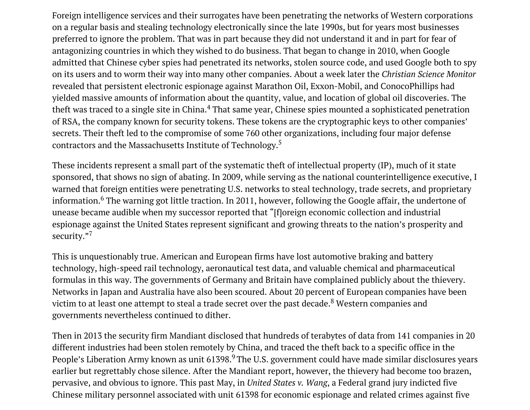Foreign intelligence services and their surrogates have been penetrating the networks of Western corporations on a regular basis and stealing technology electronically since the late 1990s, but for years most businesses preferred to ignore the problem. That was in part because they did not understand it and in part for fear of antagonizing countries in which they wished to do business. That began to change in 2010, when Google admitted that Chinese cyber spies had penetrated its networks, stolen source code, and used Google both to spy on its users and to worm their way into many other companies. About a week later the *Christian Science Monitor* revealed that persistent electronic espionage against Marathon Oil, Exxon-Mobil, and ConocoPhillips had yielded massive amounts of information about the quantity, value, and location of global oil discoveries. The theft was traced to a single site in China. $^4$  That same year, Chinese spies mounted a sophisticated penetration of RSA, the company known for security tokens. These tokens are the cryptographic keys to other companies' secrets. Their theft led to the compromise of some 760 other organizations, including four major defense contractors and the Massachusetts Institute of Technology. $^5$ 

These incidents represent a small part of the systematic theft of intellectual property (IP), much of it state sponsored, that shows no sign of abating. In 2009, while serving as the national counterintelligence executive, I warned that foreign entities were penetrating U.S. networks to steal technology, trade secrets, and proprietary information. $^6$  The warning got little traction. In 2011, however, following the Google affair, the undertone of unease became audible when my successor reported that "[f]oreign economic collection and industrial espionage against the United States represent significant and growing threats to the nation's prosperity and [s](https://disqus.com/)ecurity."<sup>7</sup>

This is unquestionably true. American and European firms have lost automotive braking and battery technology, high-speed rail technology, aeronautical test data, and valuable chemical and pharmaceutical formulas in this way. The governments of Germany and Britain have complained publicly about the thievery. Networks in Japan and Australia have also been scoured. About 20 percent of European companies have been victim to at least one attempt to steal a trade secret over the past decade. $^8$  Western companies and governments nevertheless continued to dither.

Then in 2013 the security firm Mandiant disclosed that hundreds of terabytes of data from 141 companies in 20 different industries had been stolen remotely by China, and traced the theft back to a specific office in the People's Liberation Army known as unit 61398.<sup>9</sup> The U.S. government could have made similar disclosures years earlier but regrettably chose silence. After the Mandiant report, however, the thievery had become too brazen, pervasive, and obvious to ignore. This past May, in *United States v. Wang*, a Federal grand jury indicted five Chinese military personnel associated with unit 61398 for economic espionage and related crimes against five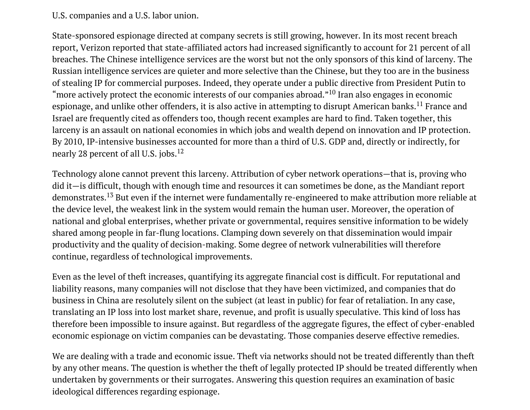## U.S. companies and a U.S. labor union.

State-sponsored espionage directed at company secrets is still growing, however. In its most recent breach report, Verizon reported that state-affiliated actors had increased significantly to account for 21 percent of all breaches. The Chinese intelligence services are the worst but not the only sponsors of this kind of larceny. The Russian intelligence services are quieter and more selective than the Chinese, but they too are in the business of stealing IP for commercial purposes. Indeed, they operate under a public directive from President Putin to "more actively protect the economic interests of our companies abroad." $^{10}$  Iran also engages in economic espionage, and unlike other offenders, it is also active in attempting to disrupt American banks.<sup>11</sup> France and Israel are frequently cited as offenders too, though recent examples are hard to find. Taken together, this larceny is an assault on national economies in which jobs and wealth depend on innovation and IP protection. By 2010, IP-intensive businesses accounted for more than a third of U.S. GDP and, directly or indirectly, for nearly 28 percent of all U.S. jobs. $^{12}$ 

Technology alone cannot prevent this larceny. Attribution of cyber network operations—that is, proving who did it—is difficult, though with enough time and resources it can sometimes be done, as the Mandiant report demonstrates.<sup>13</sup> But even if the internet were fundamentally re-engineered to make attribution more reliable at the device level, the weakest link in the system would remain the human user. Moreover, the operation of national and global enterprises, whether private or governmental, requires sensitive information to be widely shared among people in far-flung locations. Clamping down severely on that dissemination would impair productivity and the quality of decision-making. Some degree of network vulnerabilities will therefore continue, regardless of technological improvements.

Even as the level of theft increases, quantifying its aggregate financial cost is difficult. For reputational and liability reasons, many companies will not disclose that they have been victimized, and companies that do business in China are resolutely silent on the subject (at least in public) for fear of retaliation. In any case, translating an IP loss into lost market share, revenue, and profit is usually speculative. This kind of loss has therefore been impossible to insure against. But regardless of the aggregate figures, the effect of cyber-enabled economic espionage on victim companies can be devastating. Those companies deserve effective remedies.

We are dealing with a trade and economic issue. Theft via networks should not be treated differently than theft by any other means. The question is whether the theft of legally protected IP should be treated differently when undertaken by governments or their surrogates. Answering this question requires an examination of basic ideological differences regarding espionage.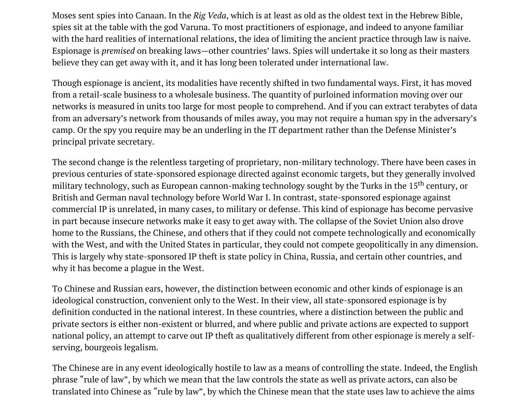Moses sent spies into Canaan. In the *Rig Veda*, which is at least as old as the oldest text in the Hebrew Bible, spies sit at the table with the god Varuna. To most practitioners of espionage, and indeed to anyone familiar with the hard realities of international relations, the idea of limiting the ancient practice through law is naive. Espionage is *premised* on breaking laws—other countries' laws. Spies will undertake it so long as their masters believe they can get away with it, and it has long been tolerated under international law.

Though espionage is ancient, its modalities have recently shifted in two fundamental ways. First, it has moved from a retail-scale business to a wholesale business. The quantity of purloined information moving over our networks is measured in units too large for most people to comprehend. And if you can extract terabytes of data from an adversary's network from thousands of miles away, you may not require a human spy in the adversary's camp. Or the spy you require may be an underling in the IT department rather than the Defense Minister's principal private secretary.

The second change is the relentless targeting of proprietary, non-military technology. There have been cases in previous centuries of state-sponsored espionage directed against economic targets, but they generally involved military technology, such as European cannon-making technology sought by the Turks in the 15<sup>th</sup> century, or British and German naval technology before World War I. In contrast, state-sponsored espionage against commercial IP is unrelated, in many cases, to military or defense. This kind of espionage has become pervasive in part because insecure networks make it easy to get away with. The collapse of the Soviet Union also drove home to the Russians, the Chinese, and others that if they could not compete technologically and economically with the West, and with the United States in particular, they could not compete geopolitically in any dimension. This is largely why state-sponsored IP theft is state policy in China, Russia, and certain other countries, and why it has become a plague in the West.

To Chinese and Russian ears, however, the distinction between economic and other kinds of espionage is an ideological construction, convenient only to the West. In their view, all state-sponsored espionage is by definition conducted in the national interest. In these countries, where a distinction between the public and private sectors is either non-existent or blurred, and where public and private actions are expected to support national policy, an attempt to carve out IP theft as qualitatively different from other espionage is merely a selfserving, bourgeois legalism.

The Chinese are in any event ideologically hostile to law as a means of controlling the state. Indeed, the English phrase "rule of law", by which we mean that the law controls the state as well as private actors, can also be translated into Chinese as "rule by law", by which the Chinese mean that the state uses law to achieve the aims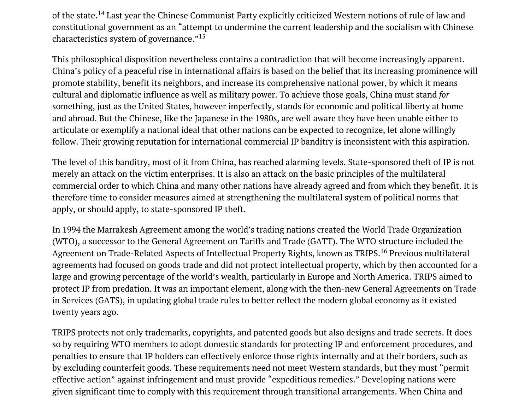of the state.<sup>14</sup> Last year the Chinese Communist Party explicitly criticized Western notions of rule of law and constitutional government as an "attempt to undermine the current leadership and the socialism with Chinese characteristics system of governance." $^{15}$ 

This philosophical disposition nevertheless contains a contradiction that will become increasingly apparent. China's policy of a peaceful rise in international affairs is based on the belief that its increasing prominence will promote stability, benefit its neighbors, and increase its comprehensive national power, by which it means cultural and diplomatic influence as well as military power. To achieve those goals, China must stand *for* something, just as the United States, however imperfectly, stands for economic and political liberty at home and abroad. But the Chinese, like the Japanese in the 1980s, are well aware they have been unable either to articulate or exemplify a national ideal that other nations can be expected to recognize, let alone willingly follow. Their growing reputation for international commercial IP banditry is inconsistent with this aspiration.

The level of this banditry, most of it from China, has reached alarming levels. State-sponsored theft of IP is not merely an attack on the victim enterprises. It is also an attack on the basic principles of the multilateral commercial order to which China and many other nations have already agreed and from which they benefit. It is therefore time to consider measures aimed at strengthening the multilateral system of political norms that apply, or should apply, to state-sponsored IP theft.

In 1994 the Marrakesh Agreement among the world's trading nations created the World Trade Organization (WTO), a successor to the General Agreement on Tariffs and Trade (GATT). The WTO structure included the Agreement on Trade-Related Aspects of Intellectual Property Rights, known as TRIPS.<sup>16</sup> Previous multilateral agreements had focused on goods trade and did not protect intellectual property, which by then accounted for a large and growing percentage of the world's wealth, particularly in Europe and North America. TRIPS aimed to protect IP from predation. It was an important element, along with the then-new General Agreements on Trade in Services (GATS), in updating global trade rules to better reflect the modern global economy as it existed twenty years ago.

TRIPS protects not only trademarks, copyrights, and patented goods but also designs and trade secrets. It does so by requiring WTO members to adopt domestic standards for protecting IP and enforcement procedures, and penalties to ensure that IP holders can effectively enforce those rights internally and at their borders, such as by excluding counterfeit goods. These requirements need not meet Western standards, but they must "permit effective action" against infringement and must provide "expeditious remedies." Developing nations were given significant time to comply with this requirement through transitional arrangements. When China and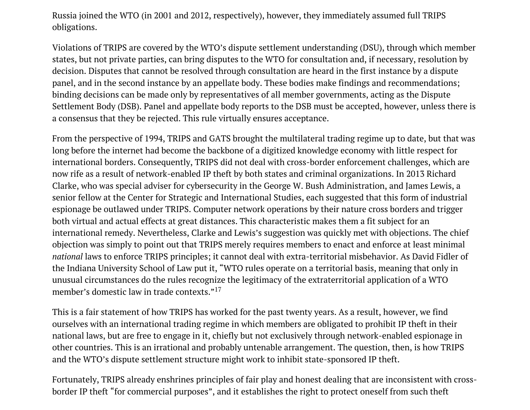Russia joined the WTO (in 2001 and 2012, respectively), however, they immediately assumed full TRIPS obligations.

Violations of TRIPS are covered by the WTO's dispute settlement understanding (DSU), through which member states, but not private parties, can bring disputes to the WTO for consultation and, if necessary, resolution by decision. Disputes that cannot be resolved through consultation are heard in the first instance by a dispute panel, and in the second instance by an appellate body. These bodies make findings and recommendations; binding decisions can be made only by representatives of all member governments, acting as the Dispute Settlement Body (DSB). Panel and appellate body reports to the DSB must be accepted, however, unless there is a consensus that they be rejected. This rule virtually ensures acceptance.

From the perspective of 1994, TRIPS and GATS brought the multilateral trading regime up to date, but that was long before the internet had become the backbone of a digitized knowledge economy with little respect for international borders. Consequently, TRIPS did not deal with cross-border enforcement challenges, which are now rife as a result of network-enabled IP theft by both states and criminal organizations. In 2013 Richard Clarke, who was special adviser for cybersecurity in the George W. Bush Administration, and James Lewis, a senior fellow at the Center for Strategic and International Studies, each suggested that this form of industrial espionage be outlawed under TRIPS. Computer network operations by their nature cross borders and trigger both virtual and actual effects at great distances. This characteristic makes them a fit subject for an international remedy. Nevertheless, Clarke and Lewis's suggestion was quickly met with objections. The chief objection was simply to point out that TRIPS merely requires members to enact and enforce at least minimal *national* laws to enforce TRIPS principles; it cannot deal with extra-territorial misbehavior. As David Fidler of the Indiana University School of Law put it, "WTO rules operate on a territorial basis, meaning that only in unusual circumstances do the rules recognize the legitimacy of the extraterritorial application of a WTO member's domestic law in trade contexts." 17

This is a fair statement of how TRIPS has worked for the past twenty years. As a result, however, we find ourselves with an international trading regime in which members are obligated to prohibit IP theft in their national laws, but are free to engage in it, chiefly but not exclusively through network-enabled espionage in other countries. This is an irrational and probably untenable arrangement. The question, then, is how TRIPS and the WTO's dispute settlement structure might work to inhibit state-sponsored IP theft.

Fortunately, TRIPS already enshrines principles of fair play and honest dealing that are inconsistent with crossborder IP theft "for commercial purposes", and it establishes the right to protect oneself from such theft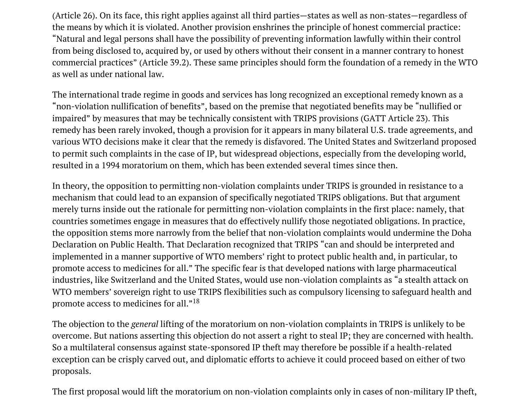(Article 26). On its face, this right applies against all third parties—states as well as non-states—regardless of the means by which it is violated. Another provision enshrines the principle of honest commercial practice: "Natural and legal persons shall have the possibility of preventing information lawfully within their control from being disclosed to, acquired by, or used by others without their consent in a manner contrary to honest commercial practices" (Article 39.2). These same principles should form the foundation of a remedy in the WTO as well as under national law.

The international trade regime in goods and services has long recognized an exceptional remedy known as a "non-violation nullification of benefits", based on the premise that negotiated benefits may be "nullified or impaired" by measures that may be technically consistent with TRIPS provisions (GATT Article 23). This remedy has been rarely invoked, though a provision for it appears in many bilateral U.S. trade agreements, and various WTO decisions make it clear that the remedy is disfavored. The United States and Switzerland proposed to permit such complaints in the case of IP, but widespread objections, especially from the developing world, resulted in a 1994 moratorium on them, which has been extended several times since then.

In theory, the opposition to permitting non-violation complaints under TRIPS is grounded in resistance to a mechanism that could lead to an expansion of specifically negotiated TRIPS obligations. But that argument merely turns inside out the rationale for permitting non-violation complaints in the first place: namely, that countries sometimes engage in measures that do effectively nullify those negotiated obligations. In practice, the opposition stems more narrowly from the belief that non-violation complaints would undermine the Doha Declaration on Public Health. That Declaration recognized that TRIPS "can and should be interpreted and implemented in a manner supportive of WTO members' right to protect public health and, in particular, to promote access to medicines for all." The specific fear is that developed nations with large pharmaceutical industries, like Switzerland and the United States, would use non-violation complaints as "a stealth attack on WTO members' sovereign right to use TRIPS flexibilities such as compulsory licensing to safeguard health and promote access to medicines for all." $^{18}$ 

The objection to the *general* lifting of the moratorium on non-violation complaints in TRIPS is unlikely to be overcome. But nations asserting this objection do not assert a right to steal IP; they are concerned with health. So a multilateral consensus against state-sponsored IP theft may therefore be possible if a health-related exception can be crisply carved out, and diplomatic efforts to achieve it could proceed based on either of two proposals.

The first proposal would lift the moratorium on non-violation complaints only in cases of non-military IP theft,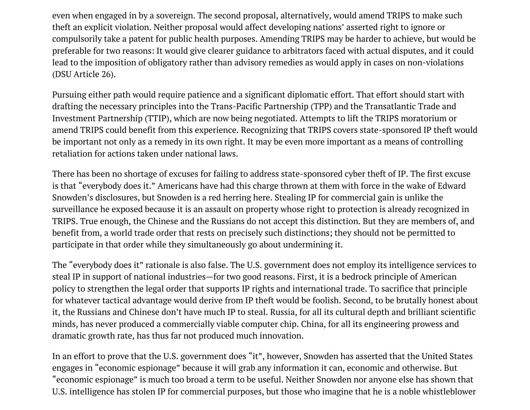even when engaged in by a sovereign. The second proposal, alternatively, would amend TRIPS to make such theft an explicit violation. Neither proposal would affect developing nations' asserted right to ignore or compulsorily take a patent for public health purposes. Amending TRIPS may be harder to achieve, but would be preferable for two reasons: It would give clearer guidance to arbitrators faced with actual disputes, and it could lead to the imposition of obligatory rather than advisory remedies as would apply in cases on non-violations (DSU Article 26).

Pursuing either path would require patience and a significant diplomatic effort. That effort should start with drafting the necessary principles into the Trans-Pacific Partnership (TPP) and the Transatlantic Trade and Investment Partnership (TTIP), which are now being negotiated. Attempts to lift the TRIPS moratorium or amend TRIPS could benefit from this experience. Recognizing that TRIPS covers state-sponsored IP theft would be important not only as a remedy in its own right. It may be even more important as a means of controlling retaliation for actions taken under national laws.

There has been no shortage of excuses for failing to address state-sponsored cyber theft of IP. The first excuse is that "everybody does it." Americans have had this charge thrown at them with force in the wake of Edward Snowden's disclosures, but Snowden is a red herring here. Stealing IP for commercial gain is unlike the surveillance he exposed because it is an assault on property whose right to protection is already recognized in TRIPS. True enough, the Chinese and the Russians do not accept this distinction. But they are members of, and benefit from, a world trade order that rests on precisely such distinctions; they should not be permitted to participate in that order while they simultaneously go about undermining it.

The "everybody does it" rationale is also false. The U.S. government does not employ its intelligence services to steal IP in support of national industries—for two good reasons. First, it is a bedrock principle of American policy to strengthen the legal order that supports IP rights and international trade. To sacrifice that principle for whatever tactical advantage would derive from IP theft would be foolish. Second, to be brutally honest about it, the Russians and Chinese don't have much IP to steal. Russia, for all its cultural depth and brilliant scientific minds, has never produced a commercially viable computer chip. China, for all its engineering prowess and dramatic growth rate, has thus far not produced much innovation.

In an effort to prove that the U.S. government does "it", however, Snowden has asserted that the United States engages in "economic espionage" because it will grab any information it can, economic and otherwise. But "economic espionage" is much too broad a term to be useful. Neither Snowden nor anyone else has shown that U.S. intelligence has stolen IP for commercial purposes, but those who imagine that he is a noble whistleblower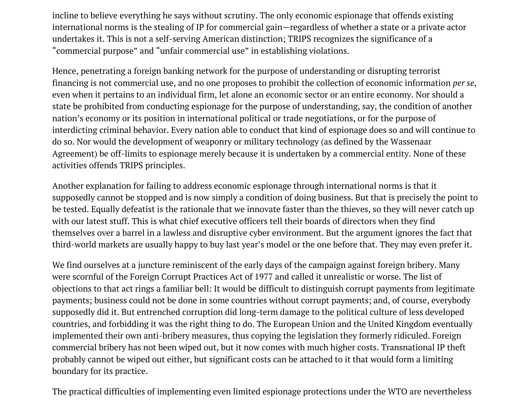incline to believe everything he says without scrutiny. The only economic espionage that offends existing international norms is the stealing of IP for commercial gain—regardless of whether a state or a private actor undertakes it. This is not a self-serving American distinction; TRIPS recognizes the significance of a "commercial purpose" and "unfair commercial use" in establishing violations.

Hence, penetrating a foreign banking network for the purpose of understanding or disrupting terrorist financing is not commercial use, and no one proposes to prohibit the collection of economic information *per se*, even when it pertains to an individual firm, let alone an economic sector or an entire economy. Nor should a state be prohibited from conducting espionage for the purpose of understanding, say, the condition of another nation's economy or its position in international political or trade negotiations, or for the purpose of interdicting criminal behavior. Every nation able to conduct that kind of espionage does so and will continue to do so. Nor would the development of weaponry or military technology (as defined by the Wassenaar Agreement) be off-limits to espionage merely because it is undertaken by a commercial entity. None of these activities offends TRIPS principles.

Another explanation for failing to address economic espionage through international norms is that it supposedly cannot be stopped and is now simply a condition of doing business. But that is precisely the point to be tested. Equally defeatist is the rationale that we innovate faster than the thieves, so they will never catch up with our latest stuff. This is what chief executive officers tell their boards of directors when they find themselves over a barrel in a lawless and disruptive cyber environment. But the argument ignores the fact that third-world markets are usually happy to buy last year's model or the one before that. They may even prefer it.

We find ourselves at a juncture reminiscent of the early days of the campaign against foreign bribery. Many were scornful of the Foreign Corrupt Practices Act of 1977 and called it unrealistic or worse. The list of objections to that act rings a familiar bell: It would be difficult to distinguish corrupt payments from legitimate payments; business could not be done in some countries without corrupt payments; and, of course, everybody supposedly did it. But entrenched corruption did long-term damage to the political culture of less developed countries, and forbidding it was the right thing to do. The European Union and the United Kingdom eventually implemented their own anti-bribery measures, thus copying the legislation they formerly ridiculed. Foreign commercial bribery has not been wiped out, but it now comes with much higher costs. Transnational IP theft probably cannot be wiped out either, but significant costs can be attached to it that would form a limiting boundary for its practice.

The practical difficulties of implementing even limited espionage protections under the WTO are nevertheless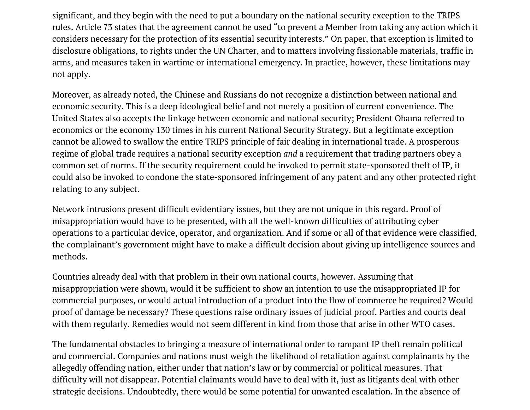significant, and they begin with the need to put a boundary on the national security exception to the TRIPS rules. Article 73 states that the agreement cannot be used "to prevent a Member from taking any action which it considers necessary for the protection of its essential security interests." On paper, that exception is limited to disclosure obligations, to rights under the UN Charter, and to matters involving fissionable materials, traffic in arms, and measures taken in wartime or international emergency. In practice, however, these limitations may not apply.

Moreover, as already noted, the Chinese and Russians do not recognize a distinction between national and economic security. This is a deep ideological belief and not merely a position of current convenience. The United States also accepts the linkage between economic and national security; President Obama referred to economics or the economy 130 times in his current National Security Strategy. But a legitimate exception cannot be allowed to swallow the entire TRIPS principle of fair dealing in international trade. A prosperous regime of global trade requires a national security exception *and* a requirement that trading partners obey a common set of norms. If the security requirement could be invoked to permit state-sponsored theft of IP, it could also be invoked to condone the state-sponsored infringement of any patent and any other protected right relating to any subject.

Network intrusions present difficult evidentiary issues, but they are not unique in this regard. Proof of misappropriation would have to be presented, with all the well-known difficulties of attributing cyber operations to a particular device, operator, and organization. And if some or all of that evidence were classified, the complainant's government might have to make a difficult decision about giving up intelligence sources and methods.

Countries already deal with that problem in their own national courts, however. Assuming that misappropriation were shown, would it be sufficient to show an intention to use the misappropriated IP for commercial purposes, or would actual introduction of a product into the flow of commerce be required? Would proof of damage be necessary? These questions raise ordinary issues of judicial proof. Parties and courts deal with them regularly. Remedies would not seem different in kind from those that arise in other WTO cases.

The fundamental obstacles to bringing a measure of international order to rampant IP theft remain political and commercial. Companies and nations must weigh the likelihood of retaliation against complainants by the allegedly offending nation, either under that nation's law or by commercial or political measures. That difficulty will not disappear. Potential claimants would have to deal with it, just as litigants deal with other strategic decisions. Undoubtedly, there would be some potential for unwanted escalation. In the absence of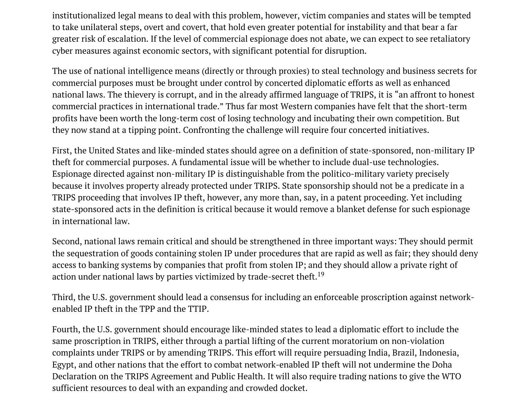institutionalized legal means to deal with this problem, however, victim companies and states will be tempted to take unilateral steps, overt and covert, that hold even greater potential for instability and that bear a far greater risk of escalation. If the level of commercial espionage does not abate, we can expect to see retaliatory cyber measures against economic sectors, with significant potential for disruption.

The use of national intelligence means (directly or through proxies) to steal technology and business secrets for commercial purposes must be brought under control by concerted diplomatic efforts as well as enhanced national laws. The thievery is corrupt, and in the already affirmed language of TRIPS, it is "an affront to honest commercial practices in international trade." Thus far most Western companies have felt that the short-term profits have been worth the long-term cost of losing technology and incubating their own competition. But they now stand at a tipping point. Confronting the challenge will require four concerted initiatives.

First, the United States and like-minded states should agree on a definition of state-sponsored, non-military IP theft for commercial purposes. A fundamental issue will be whether to include dual-use technologies. Espionage directed against non-military IP is distinguishable from the politico-military variety precisely because it involves property already protected under TRIPS. State sponsorship should not be a predicate in a TRIPS proceeding that involves IP theft, however, any more than, say, in a patent proceeding. Yet including state-sponsored acts in the definition is critical because it would remove a blanket defense for such espionage in international law.

Second, national laws remain critical and should be strengthened in three important ways: They should permit the sequestration of goods containing stolen IP under procedures that are rapid as well as fair; they should deny access to banking systems by companies that profit from stolen IP; and they should allow a private right of action under national laws by parties victimized by trade-secret theft. $^{19}$ 

Third, the U.S. government should lead a consensus for including an enforceable proscription against networkenabled IP theft in the TPP and the TTIP.

Fourth, the U.S. government should encourage like-minded states to lead a diplomatic effort to include the same proscription in TRIPS, either through a partial lifting of the current moratorium on non-violation complaints under TRIPS or by amending TRIPS. This effort will require persuading India, Brazil, Indonesia, Egypt, and other nations that the effort to combat network-enabled IP theft will not undermine the Doha Declaration on the TRIPS Agreement and Public Health. It will also require trading nations to give the WTO sufficient resources to deal with an expanding and crowded docket.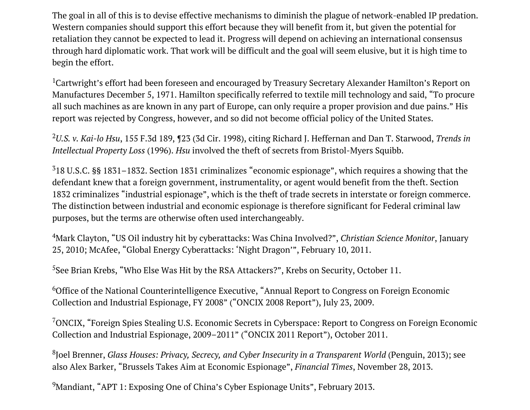The goal in all of this is to devise effective mechanisms to diminish the plague of network-enabled IP predation. Western companies should support this effort because they will benefit from it, but given the potential for retaliation they cannot be expected to lead it. Progress will depend on achieving an international consensus through hard diplomatic work. That work will be difficult and the goal will seem elusive, but it is high time to begin the effort.

 $^1$ Cartwright's effort had been foreseen and encouraged by Treasury Secretary Alexander Hamilton's Report on Manufactures December 5, 1971. Hamilton specifically referred to textile mill technology and said, "To procure all such machines as are known in any part of Europe, can only require a proper provision and due pains." His report was rejected by Congress, however, and so did not become official policy of the United States.

*U.S. v. Kai-lo Hsu*, 155 F.3d 189, ¶23 (3d Cir. 1998), citing Richard J. Heffernan and Dan T. Starwood, *Trends in* 2 *Intellectual Property Loss* (1996). *Hsu* involved the theft of secrets from Bristol-Myers Squibb.

 $318$  U.S.C. §§ 1831–1832. Section 1831 criminalizes "economic espionage", which requires a showing that the defendant knew that a foreign government, instrumentality, or agent would benefit from the theft. Section 1832 criminalizes "industrial espionage", which is the theft of trade secrets in interstate or foreign commerce. The distinction between industrial and economic espionage is therefore significant for Federal criminal law purposes, but the terms are otherwise often used interchangeably.

Mark Clayton, "US Oil industry hit by cyberattacks: Was China Involved?", *Christian Science Monitor*, January 4 25, 2010; McAfee, "Global Energy Cyberattacks: 'Night Dragon'", February 10, 2011.

 $5$ See Brian Krebs, "Who Else Was Hit by the RSA Attackers?", Krebs on Security, October 11.

 $^6$ Office of the National Counterintelligence Executive, "Annual Report to Congress on Foreign Economic Collection and Industrial Espionage, FY 2008" ("ONCIX 2008 Report"), July 23, 2009.

 $^{7}$ ONCIX, "Foreign Spies Stealing U.S. Economic Secrets in Cyberspace: Report to Congress on Foreign Economic Collection and Industrial Espionage, 2009–2011" ("ONCIX 2011 Report"), October 2011.

Joel Brenner, *Glass Houses: Privacy, Secrecy, and Cyber Insecurity in a Transparent World* (Penguin, 2013); see 8 also Alex Barker, "Brussels Takes Aim at Economic Espionage", *Financial Times*, November 28, 2013.

 $9$ Mandiant, "APT 1: Exposing One of China's Cyber Espionage Units", February 2013.